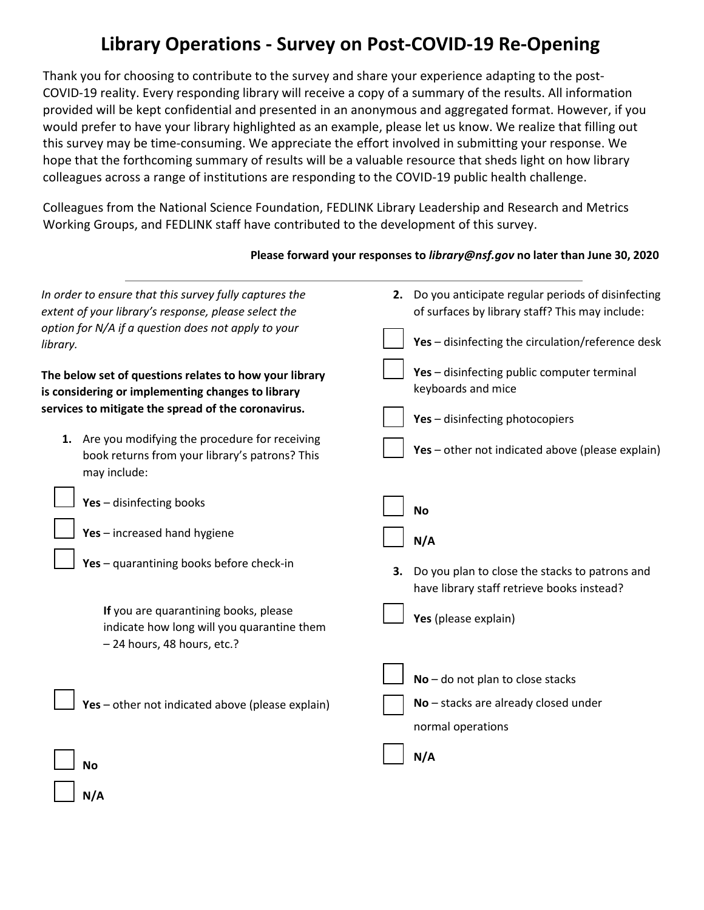# **Library Operations - Survey on Post-COVID-19 Re-Opening**

Thank you for choosing to contribute to the survey and share your experience adapting to the post-COVID-19 reality. Every responding library will receive a copy of a summary of the results. All information provided will be kept confidential and presented in an anonymous and aggregated format. However, if you would prefer to have your library highlighted as an example, please let us know. We realize that filling out this survey may be time-consuming. We appreciate the effort involved in submitting your response. We hope that the forthcoming summary of results will be a valuable resource that sheds light on how library colleagues across a range of institutions are responding to the COVID-19 public health challenge.

Colleagues from the National Science Foundation, FEDLINK Library Leadership and Research and Metrics Working Groups, and FEDLINK staff have contributed to the development of this survey.

### **Please forward your responses to** *library@nsf.gov* **no later than June 30, 2020**

| In order to ensure that this survey fully captures the<br>extent of your library's response, please select the<br>option for N/A if a question does not apply to your<br>library. | 2. Do you anticipate regular periods of disinfecting<br>of surfaces by library staff? This may include:<br>Yes - disinfecting the circulation/reference desk |
|-----------------------------------------------------------------------------------------------------------------------------------------------------------------------------------|--------------------------------------------------------------------------------------------------------------------------------------------------------------|
| The below set of questions relates to how your library<br>is considering or implementing changes to library<br>services to mitigate the spread of the coronavirus.                | Yes - disinfecting public computer terminal<br>keyboards and mice                                                                                            |
| 1. Are you modifying the procedure for receiving<br>book returns from your library's patrons? This<br>may include:                                                                | Yes - disinfecting photocopiers<br>Yes - other not indicated above (please explain)                                                                          |
| Yes - disinfecting books                                                                                                                                                          | <b>No</b>                                                                                                                                                    |
| Yes - increased hand hygiene                                                                                                                                                      | N/A                                                                                                                                                          |
| Yes - quarantining books before check-in                                                                                                                                          | Do you plan to close the stacks to patrons and<br>з.<br>have library staff retrieve books instead?                                                           |
| If you are quarantining books, please<br>indicate how long will you quarantine them<br>- 24 hours, 48 hours, etc.?                                                                | Yes (please explain)                                                                                                                                         |
| Yes - other not indicated above (please explain)                                                                                                                                  | $No$ – do not plan to close stacks<br>No - stacks are already closed under<br>normal operations                                                              |
| <b>No</b>                                                                                                                                                                         | N/A                                                                                                                                                          |
| N/A                                                                                                                                                                               |                                                                                                                                                              |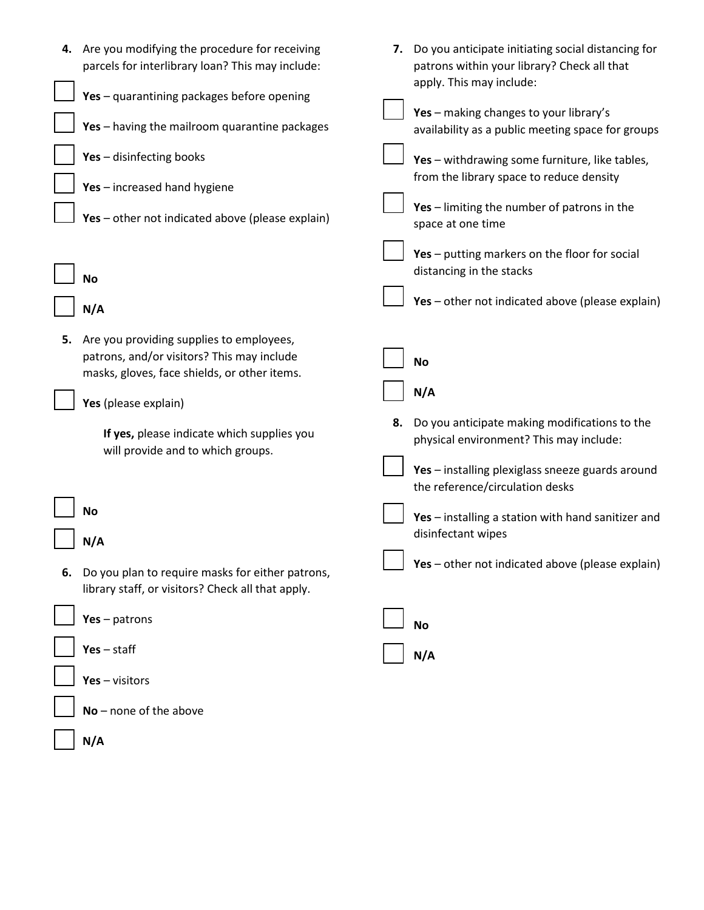|    | 4. Are you modifying the procedure for receiving<br>parcels for interlibrary loan? This may include:                                                                                                                                              | 7. | Do you anticipate initiating social distancing for<br>patrons within your library? Check all that<br>apply. This may include:                                                                                                                                                                                                              |
|----|---------------------------------------------------------------------------------------------------------------------------------------------------------------------------------------------------------------------------------------------------|----|--------------------------------------------------------------------------------------------------------------------------------------------------------------------------------------------------------------------------------------------------------------------------------------------------------------------------------------------|
|    | Yes - quarantining packages before opening<br>Yes - having the mailroom quarantine packages<br>Yes - disinfecting books<br>Yes - increased hand hygiene<br>Yes - other not indicated above (please explain)<br>No                                 |    | Yes - making changes to your library's<br>availability as a public meeting space for groups<br>Yes - withdrawing some furniture, like tables,<br>from the library space to reduce density<br>Yes - limiting the number of patrons in the<br>space at one time<br>Yes - putting markers on the floor for social<br>distancing in the stacks |
|    | N/A                                                                                                                                                                                                                                               |    | Yes - other not indicated above (please explain)                                                                                                                                                                                                                                                                                           |
| 5. | Are you providing supplies to employees,<br>patrons, and/or visitors? This may include<br>masks, gloves, face shields, or other items.<br>Yes (please explain)<br>If yes, please indicate which supplies you<br>will provide and to which groups. | 8. | <b>No</b><br>N/A<br>Do you anticipate making modifications to the<br>physical environment? This may include:<br>Yes - installing plexiglass sneeze guards around                                                                                                                                                                           |
| 6. | No<br>N/A<br>Do you plan to require masks for either patrons,<br>library staff, or visitors? Check all that apply.                                                                                                                                |    | the reference/circulation desks<br>Yes - installing a station with hand sanitizer and<br>disinfectant wipes<br>Yes - other not indicated above (please explain)                                                                                                                                                                            |
|    | $Yes - patterns$                                                                                                                                                                                                                                  |    | <b>No</b>                                                                                                                                                                                                                                                                                                                                  |
|    | $Yes - staff$                                                                                                                                                                                                                                     |    | N/A                                                                                                                                                                                                                                                                                                                                        |
|    | $Yes - visitors$<br>$No$ – none of the above                                                                                                                                                                                                      |    |                                                                                                                                                                                                                                                                                                                                            |
|    | N/A                                                                                                                                                                                                                                               |    |                                                                                                                                                                                                                                                                                                                                            |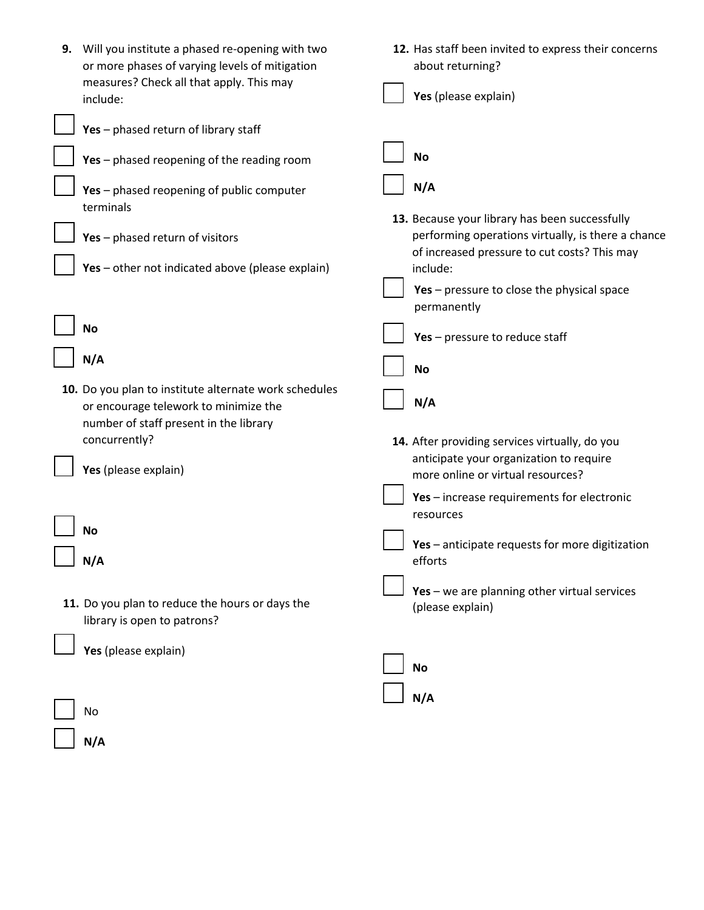| 9. | Will you institute a phased re-opening with two<br>or more phases of varying levels of mitigation<br>measures? Check all that apply. This may | 12. Has staff been invited to express their concerns<br>about returning?                                                                             |
|----|-----------------------------------------------------------------------------------------------------------------------------------------------|------------------------------------------------------------------------------------------------------------------------------------------------------|
|    | include:                                                                                                                                      | Yes (please explain)                                                                                                                                 |
|    | Yes - phased return of library staff                                                                                                          |                                                                                                                                                      |
|    | Yes - phased reopening of the reading room                                                                                                    | <b>No</b>                                                                                                                                            |
|    | Yes - phased reopening of public computer<br>terminals                                                                                        | N/A                                                                                                                                                  |
|    | Yes - phased return of visitors                                                                                                               | 13. Because your library has been successfully<br>performing operations virtually, is there a chance<br>of increased pressure to cut costs? This may |
|    | Yes - other not indicated above (please explain)                                                                                              | include:                                                                                                                                             |
|    |                                                                                                                                               | Yes - pressure to close the physical space<br>permanently                                                                                            |
|    | <b>No</b>                                                                                                                                     | Yes - pressure to reduce staff                                                                                                                       |
|    | N/A                                                                                                                                           | <b>No</b>                                                                                                                                            |
|    | 10. Do you plan to institute alternate work schedules<br>or encourage telework to minimize the<br>number of staff present in the library      | N/A                                                                                                                                                  |
|    | concurrently?                                                                                                                                 | 14. After providing services virtually, do you                                                                                                       |
|    | Yes (please explain)                                                                                                                          | anticipate your organization to require<br>more online or virtual resources?                                                                         |
|    |                                                                                                                                               | Yes - increase requirements for electronic<br>resources                                                                                              |
|    | No                                                                                                                                            | Yes - anticipate requests for more digitization                                                                                                      |
|    | N/A                                                                                                                                           | efforts                                                                                                                                              |
|    | 11. Do you plan to reduce the hours or days the<br>library is open to patrons?                                                                | Yes - we are planning other virtual services<br>(please explain)                                                                                     |
|    | Yes (please explain)                                                                                                                          | <b>No</b>                                                                                                                                            |
|    |                                                                                                                                               | N/A                                                                                                                                                  |
|    | No                                                                                                                                            |                                                                                                                                                      |
|    | N/A                                                                                                                                           |                                                                                                                                                      |